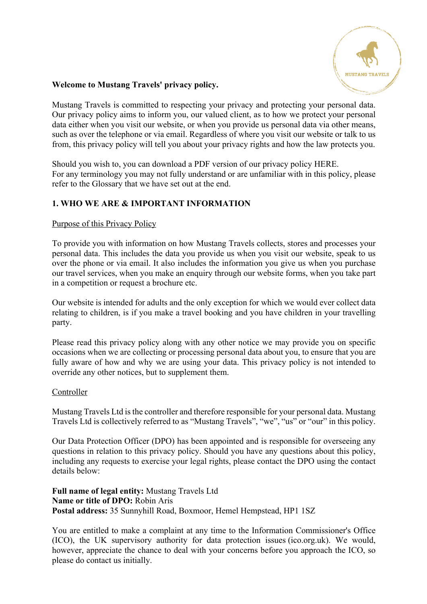

## **Welcome to Mustang Travels' privacy policy.**

Mustang Travels is committed to respecting your privacy and protecting your personal data. Our privacy policy aims to inform you, our valued client, as to how we protect your personal data either when you visit our website, or when you provide us personal data via other means, such as over the telephone or via email. Regardless of where you visit our website or talk to us from, this privacy policy will tell you about your privacy rights and how the law protects you.

Should you wish to, you can download a PDF version of our privacy policy HERE. For any terminology you may not fully understand or are unfamiliar with in this policy, please refer to the Glossary that we have set out at the end.

## **1. WHO WE ARE & IMPORTANT INFORMATION**

## Purpose of this Privacy Policy

To provide you with information on how Mustang Travels collects, stores and processes your personal data. This includes the data you provide us when you visit our website, speak to us over the phone or via email. It also includes the information you give us when you purchase our travel services, when you make an enquiry through our website forms, when you take part in a competition or request a brochure etc.

Our website is intended for adults and the only exception for which we would ever collect data relating to children, is if you make a travel booking and you have children in your travelling party.

Please read this privacy policy along with any other notice we may provide you on specific occasions when we are collecting or processing personal data about you, to ensure that you are fully aware of how and why we are using your data. This privacy policy is not intended to override any other notices, but to supplement them.

### Controller

Mustang Travels Ltd is the controller and therefore responsible for your personal data. Mustang Travels Ltd is collectively referred to as "Mustang Travels", "we", "us" or "our" in this policy.

Our Data Protection Officer (DPO) has been appointed and is responsible for overseeing any questions in relation to this privacy policy. Should you have any questions about this policy, including any requests to exercise your legal rights, please contact the DPO using the contact details below:

**Full name of legal entity:** Mustang Travels Ltd **Name or title of DPO:** Robin Aris **Postal address:** 35 Sunnyhill Road, Boxmoor, Hemel Hempstead, HP1 1SZ

You are entitled to make a complaint at any time to the Information Commissioner's Office (ICO), the UK supervisory authority for data protection issues (ico.org.uk). We would, however, appreciate the chance to deal with your concerns before you approach the ICO, so please do contact us initially.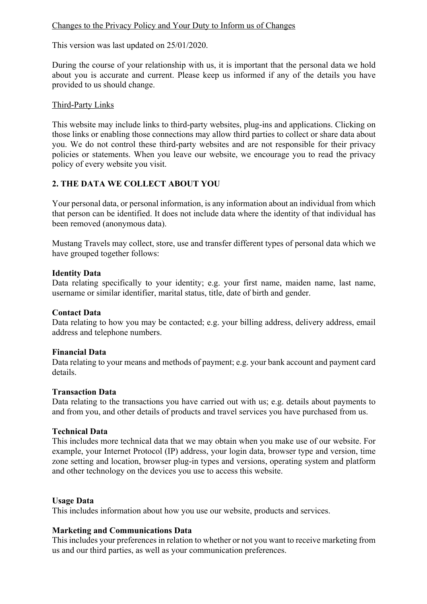## Changes to the Privacy Policy and Your Duty to Inform us of Changes

This version was last updated on 25/01/2020.

During the course of your relationship with us, it is important that the personal data we hold about you is accurate and current. Please keep us informed if any of the details you have provided to us should change.

## Third-Party Links

This website may include links to third-party websites, plug-ins and applications. Clicking on those links or enabling those connections may allow third parties to collect or share data about you. We do not control these third-party websites and are not responsible for their privacy policies or statements. When you leave our website, we encourage you to read the privacy policy of every website you visit.

## **2. THE DATA WE COLLECT ABOUT YOU**

Your personal data, or personal information, is any information about an individual from which that person can be identified. It does not include data where the identity of that individual has been removed (anonymous data).

Mustang Travels may collect, store, use and transfer different types of personal data which we have grouped together follows:

## **Identity Data**

Data relating specifically to your identity; e.g. your first name, maiden name, last name, username or similar identifier, marital status, title, date of birth and gender.

### **Contact Data**

Data relating to how you may be contacted; e.g. your billing address, delivery address, email address and telephone numbers.

### **Financial Data**

Data relating to your means and methods of payment; e.g. your bank account and payment card details.

### **Transaction Data**

Data relating to the transactions you have carried out with us; e.g. details about payments to and from you, and other details of products and travel services you have purchased from us.

### **Technical Data**

This includes more technical data that we may obtain when you make use of our website. For example, your Internet Protocol (IP) address, your login data, browser type and version, time zone setting and location, browser plug-in types and versions, operating system and platform and other technology on the devices you use to access this website.

### **Usage Data**

This includes information about how you use our website, products and services.

## **Marketing and Communications Data**

This includes your preferences in relation to whether or not you want to receive marketing from us and our third parties, as well as your communication preferences.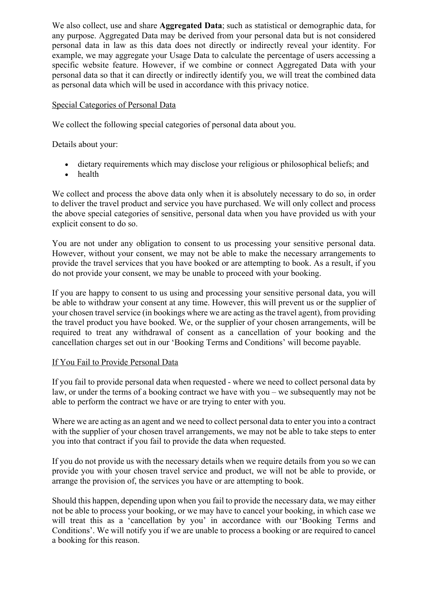We also collect, use and share **Aggregated Data**; such as statistical or demographic data, for any purpose. Aggregated Data may be derived from your personal data but is not considered personal data in law as this data does not directly or indirectly reveal your identity. For example, we may aggregate your Usage Data to calculate the percentage of users accessing a specific website feature. However, if we combine or connect Aggregated Data with your personal data so that it can directly or indirectly identify you, we will treat the combined data as personal data which will be used in accordance with this privacy notice.

## Special Categories of Personal Data

We collect the following special categories of personal data about you.

Details about your:

- dietary requirements which may disclose your religious or philosophical beliefs; and
- health

We collect and process the above data only when it is absolutely necessary to do so, in order to deliver the travel product and service you have purchased. We will only collect and process the above special categories of sensitive, personal data when you have provided us with your explicit consent to do so.

You are not under any obligation to consent to us processing your sensitive personal data. However, without your consent, we may not be able to make the necessary arrangements to provide the travel services that you have booked or are attempting to book. As a result, if you do not provide your consent, we may be unable to proceed with your booking.

If you are happy to consent to us using and processing your sensitive personal data, you will be able to withdraw your consent at any time. However, this will prevent us or the supplier of your chosen travel service (in bookings where we are acting as the travel agent), from providing the travel product you have booked. We, or the supplier of your chosen arrangements, will be required to treat any withdrawal of consent as a cancellation of your booking and the cancellation charges set out in our 'Booking Terms and Conditions' will become payable.

### If You Fail to Provide Personal Data

If you fail to provide personal data when requested - where we need to collect personal data by law, or under the terms of a booking contract we have with you – we subsequently may not be able to perform the contract we have or are trying to enter with you.

Where we are acting as an agent and we need to collect personal data to enter you into a contract with the supplier of your chosen travel arrangements, we may not be able to take steps to enter you into that contract if you fail to provide the data when requested.

If you do not provide us with the necessary details when we require details from you so we can provide you with your chosen travel service and product, we will not be able to provide, or arrange the provision of, the services you have or are attempting to book.

Should this happen, depending upon when you fail to provide the necessary data, we may either not be able to process your booking, or we may have to cancel your booking, in which case we will treat this as a 'cancellation by you' in accordance with our 'Booking Terms and Conditions'. We will notify you if we are unable to process a booking or are required to cancel a booking for this reason.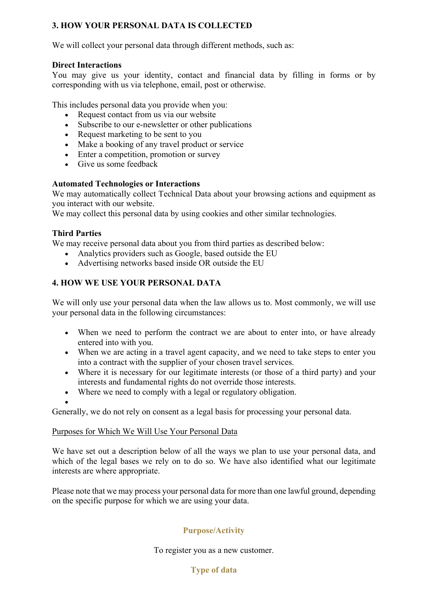## **3. HOW YOUR PERSONAL DATA IS COLLECTED**

We will collect your personal data through different methods, such as:

## **Direct Interactions**

You may give us your identity, contact and financial data by filling in forms or by corresponding with us via telephone, email, post or otherwise.

This includes personal data you provide when you:

- Request contact from us via our website
- Subscribe to our e-newsletter or other publications
- Request marketing to be sent to you
- Make a booking of any travel product or service
- Enter a competition, promotion or survey
- Give us some feedback

## **Automated Technologies or Interactions**

We may automatically collect Technical Data about your browsing actions and equipment as you interact with our website.

We may collect this personal data by using cookies and other similar technologies.

## **Third Parties**

We may receive personal data about you from third parties as described below:

- Analytics providers such as Google, based outside the EU
- Advertising networks based inside OR outside the EU

## **4. HOW WE USE YOUR PERSONAL DATA**

We will only use your personal data when the law allows us to. Most commonly, we will use your personal data in the following circumstances:

- When we need to perform the contract we are about to enter into, or have already entered into with you.
- When we are acting in a travel agent capacity, and we need to take steps to enter you into a contract with the supplier of your chosen travel services.
- Where it is necessary for our legitimate interests (or those of a third party) and your interests and fundamental rights do not override those interests.
- Where we need to comply with a legal or regulatory obligation.

•

Generally, we do not rely on consent as a legal basis for processing your personal data.

# Purposes for Which We Will Use Your Personal Data

We have set out a description below of all the ways we plan to use your personal data, and which of the legal bases we rely on to do so. We have also identified what our legitimate interests are where appropriate.

Please note that we may process your personal data for more than one lawful ground, depending on the specific purpose for which we are using your data.

# **Purpose/Activity**

To register you as a new customer.

## **Type of data**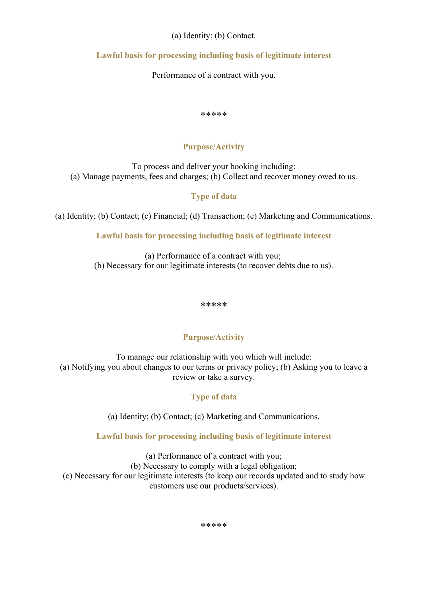## (a) Identity; (b) Contact.

## **Lawful basis for processing including basis of legitimate interest**

Performance of a contract with you.

#### \*\*\*\*\*

## **Purpose/Activity**

To process and deliver your booking including: (a) Manage payments, fees and charges; (b) Collect and recover money owed to us.

## **Type of data**

(a) Identity; (b) Contact; (c) Financial; (d) Transaction; (e) Marketing and Communications.

**Lawful basis for processing including basis of legitimate interest**

(a) Performance of a contract with you; (b) Necessary for our legitimate interests (to recover debts due to us).

\*\*\*\*\*

# **Purpose/Activity**

To manage our relationship with you which will include: (a) Notifying you about changes to our terms or privacy policy; (b) Asking you to leave a review or take a survey.

# **Type of data**

(a) Identity; (b) Contact; (c) Marketing and Communications.

**Lawful basis for processing including basis of legitimate interest**

(a) Performance of a contract with you; (b) Necessary to comply with a legal obligation; (c) Necessary for our legitimate interests (to keep our records updated and to study how customers use our products/services).

\*\*\*\*\*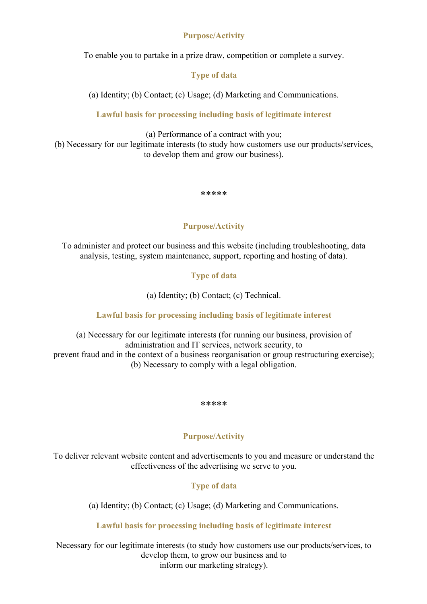## **Purpose/Activity**

To enable you to partake in a prize draw, competition or complete a survey.

## **Type of data**

(a) Identity; (b) Contact; (c) Usage; (d) Marketing and Communications.

**Lawful basis for processing including basis of legitimate interest**

(a) Performance of a contract with you;

(b) Necessary for our legitimate interests (to study how customers use our products/services, to develop them and grow our business).

\*\*\*\*\*

## **Purpose/Activity**

To administer and protect our business and this website (including troubleshooting, data analysis, testing, system maintenance, support, reporting and hosting of data).

## **Type of data**

(a) Identity; (b) Contact; (c) Technical.

### **Lawful basis for processing including basis of legitimate interest**

(a) Necessary for our legitimate interests (for running our business, provision of administration and IT services, network security, to prevent fraud and in the context of a business reorganisation or group restructuring exercise); (b) Necessary to comply with a legal obligation.

\*\*\*\*\*

## **Purpose/Activity**

To deliver relevant website content and advertisements to you and measure or understand the effectiveness of the advertising we serve to you.

# **Type of data**

(a) Identity; (b) Contact; (c) Usage; (d) Marketing and Communications.

## **Lawful basis for processing including basis of legitimate interest**

Necessary for our legitimate interests (to study how customers use our products/services, to develop them, to grow our business and to inform our marketing strategy).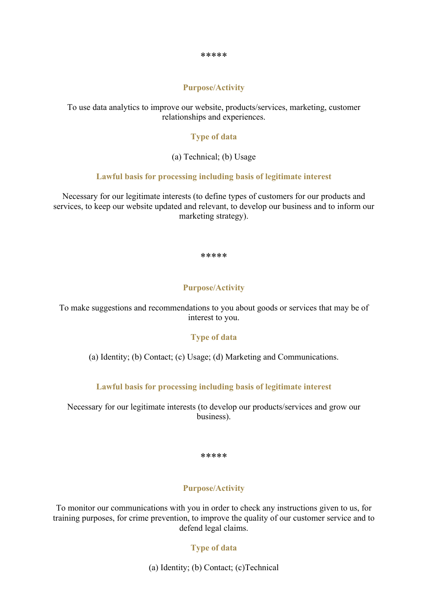#### \*\*\*\*\*

### **Purpose/Activity**

To use data analytics to improve our website, products/services, marketing, customer relationships and experiences.

### **Type of data**

(a) Technical; (b) Usage

### **Lawful basis for processing including basis of legitimate interest**

Necessary for our legitimate interests (to define types of customers for our products and services, to keep our website updated and relevant, to develop our business and to inform our marketing strategy).

#### \*\*\*\*\*

### **Purpose/Activity**

To make suggestions and recommendations to you about goods or services that may be of interest to you.

### **Type of data**

(a) Identity; (b) Contact; (c) Usage; (d) Marketing and Communications.

### **Lawful basis for processing including basis of legitimate interest**

Necessary for our legitimate interests (to develop our products/services and grow our business).

#### \*\*\*\*\*

### **Purpose/Activity**

To monitor our communications with you in order to check any instructions given to us, for training purposes, for crime prevention, to improve the quality of our customer service and to defend legal claims.

### **Type of data**

(a) Identity; (b) Contact; (c)Technical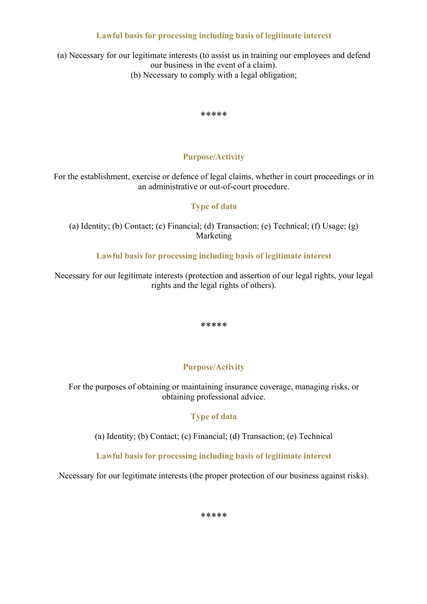## **Lawful basis for processing including basis of legitimate interest**

(a) Necessary for our legitimate interests (to assist us in training our employees and defend our business in the event of a claim). (b) Necessary to comply with a legal obligation;

\*\*\*\*\*

## **Purpose/Activity**

For the establishment, exercise or defence of legal claims, whether in court proceedings or in an administrative or out-of-court procedure.

## **Type of data**

(a) Identity; (b) Contact; (c) Financial; (d) Transaction; (e) Technical; (f) Usage; (g) Marketing

**Lawful basis for processing including basis of legitimate interest**

Necessary for our legitimate interests (protection and assertion of our legal rights, your legal rights and the legal rights of others).

\*\*\*\*\*

## **Purpose/Activity**

For the purposes of obtaining or maintaining insurance coverage, managing risks, or obtaining professional advice.

### **Type of data**

(a) Identity; (b) Contact; (c) Financial; (d) Transaction; (e) Technical

**Lawful basis for processing including basis of legitimate interest**

Necessary for our legitimate interests (the proper protection of our business against risks).

\*\*\*\*\*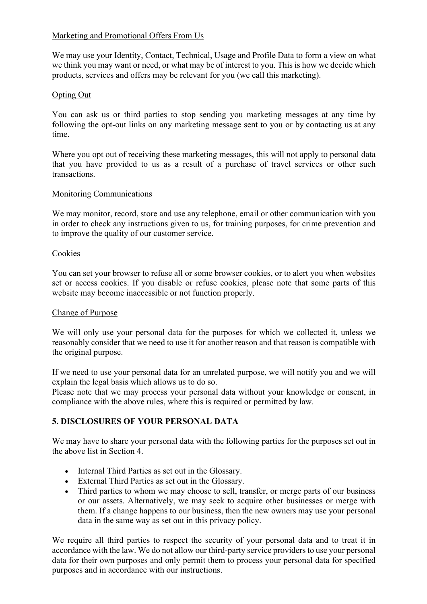## Marketing and Promotional Offers From Us

We may use your Identity, Contact, Technical, Usage and Profile Data to form a view on what we think you may want or need, or what may be of interest to you. This is how we decide which products, services and offers may be relevant for you (we call this marketing).

## Opting Out

You can ask us or third parties to stop sending you marketing messages at any time by following the opt-out links on any marketing message sent to you or by contacting us at any time.

Where you opt out of receiving these marketing messages, this will not apply to personal data that you have provided to us as a result of a purchase of travel services or other such transactions.

## Monitoring Communications

We may monitor, record, store and use any telephone, email or other communication with you in order to check any instructions given to us, for training purposes, for crime prevention and to improve the quality of our customer service.

## Cookies

You can set your browser to refuse all or some browser cookies, or to alert you when websites set or access cookies. If you disable or refuse cookies, please note that some parts of this website may become inaccessible or not function properly.

### Change of Purpose

We will only use your personal data for the purposes for which we collected it, unless we reasonably consider that we need to use it for another reason and that reason is compatible with the original purpose.

If we need to use your personal data for an unrelated purpose, we will notify you and we will explain the legal basis which allows us to do so.

Please note that we may process your personal data without your knowledge or consent, in compliance with the above rules, where this is required or permitted by law.

# **5. DISCLOSURES OF YOUR PERSONAL DATA**

We may have to share your personal data with the following parties for the purposes set out in the above list in Section 4.

- Internal Third Parties as set out in the Glossary.
- External Third Parties as set out in the Glossary.
- Third parties to whom we may choose to sell, transfer, or merge parts of our business or our assets. Alternatively, we may seek to acquire other businesses or merge with them. If a change happens to our business, then the new owners may use your personal data in the same way as set out in this privacy policy.

We require all third parties to respect the security of your personal data and to treat it in accordance with the law. We do not allow our third-party service providers to use your personal data for their own purposes and only permit them to process your personal data for specified purposes and in accordance with our instructions.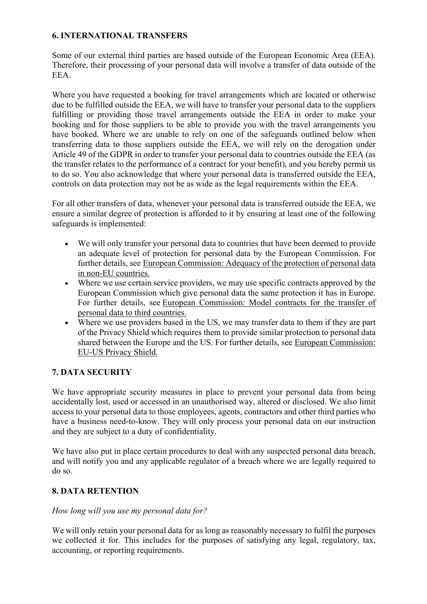## **6. INTERNATIONAL TRANSFERS**

Some of our external third parties are based outside of the European Economic Area (EEA). Therefore, their processing of your personal data will involve a transfer of data outside of the EEA.

Where you have requested a booking for travel arrangements which are located or otherwise due to be fulfilled outside the EEA, we will have to transfer your personal data to the suppliers fulfilling or providing those travel arrangements outside the EEA in order to make your booking and for those suppliers to be able to provide you with the travel arrangements you have booked. Where we are unable to rely on one of the safeguards outlined below when transferring data to those suppliers outside the EEA, we will rely on the derogation under Article 49 of the GDPR in order to transfer your personal data to countries outside the EEA (as the transfer relates to the performance of a contract for your benefit), and you hereby permit us to do so. You also acknowledge that where your personal data is transferred outside the EEA, controls on data protection may not be as wide as the legal requirements within the EEA.

For all other transfers of data, whenever your personal data is transferred outside the EEA, we ensure a similar degree of protection is afforded to it by ensuring at least one of the following safeguards is implemented:

- We will only transfer your personal data to countries that have been deemed to provide an adequate level of protection for personal data by the European Commission. For further details, see European Commission: Adequacy of the protection of personal data in non-EU countries.
- Where we use certain service providers, we may use specific contracts approved by the European Commission which give personal data the same protection it has in Europe. For further details, see European Commission: Model contracts for the transfer of personal data to third countries.
- Where we use providers based in the US, we may transfer data to them if they are part of the Privacy Shield which requires them to provide similar protection to personal data shared between the Europe and the US. For further details, see European Commission: EU-US Privacy Shield.

# **7. DATA SECURITY**

We have appropriate security measures in place to prevent your personal data from being accidentally lost, used or accessed in an unauthorised way, altered or disclosed. We also limit access to your personal data to those employees, agents, contractors and other third parties who have a business need-to-know. They will only process your personal data on our instruction and they are subject to a duty of confidentiality.

We have also put in place certain procedures to deal with any suspected personal data breach, and will notify you and any applicable regulator of a breach where we are legally required to do so.

## **8. DATA RETENTION**

## *How long will you use my personal data for?*

We will only retain your personal data for as long as reasonably necessary to fulfil the purposes we collected it for. This includes for the purposes of satisfying any legal, regulatory, tax, accounting, or reporting requirements.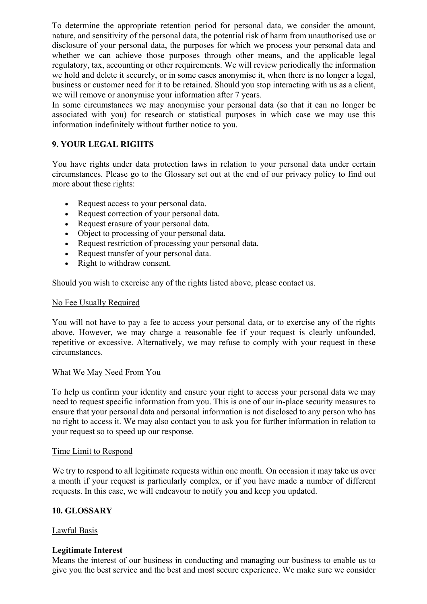To determine the appropriate retention period for personal data, we consider the amount, nature, and sensitivity of the personal data, the potential risk of harm from unauthorised use or disclosure of your personal data, the purposes for which we process your personal data and whether we can achieve those purposes through other means, and the applicable legal regulatory, tax, accounting or other requirements. We will review periodically the information we hold and delete it securely, or in some cases anonymise it, when there is no longer a legal, business or customer need for it to be retained. Should you stop interacting with us as a client, we will remove or anonymise your information after 7 years.

In some circumstances we may anonymise your personal data (so that it can no longer be associated with you) for research or statistical purposes in which case we may use this information indefinitely without further notice to you.

## **9. YOUR LEGAL RIGHTS**

You have rights under data protection laws in relation to your personal data under certain circumstances. Please go to the Glossary set out at the end of our privacy policy to find out more about these rights:

- Request access to your personal data.
- Request correction of your personal data.
- Request erasure of your personal data.
- Object to processing of your personal data.
- Request restriction of processing your personal data.
- Request transfer of your personal data.
- Right to withdraw consent.

Should you wish to exercise any of the rights listed above, please contact us.

### No Fee Usually Required

You will not have to pay a fee to access your personal data, or to exercise any of the rights above. However, we may charge a reasonable fee if your request is clearly unfounded, repetitive or excessive. Alternatively, we may refuse to comply with your request in these circumstances.

### What We May Need From You

To help us confirm your identity and ensure your right to access your personal data we may need to request specific information from you. This is one of our in-place security measures to ensure that your personal data and personal information is not disclosed to any person who has no right to access it. We may also contact you to ask you for further information in relation to your request so to speed up our response.

### Time Limit to Respond

We try to respond to all legitimate requests within one month. On occasion it may take us over a month if your request is particularly complex, or if you have made a number of different requests. In this case, we will endeavour to notify you and keep you updated.

### **10. GLOSSARY**

### Lawful Basis

### **Legitimate Interest**

Means the interest of our business in conducting and managing our business to enable us to give you the best service and the best and most secure experience. We make sure we consider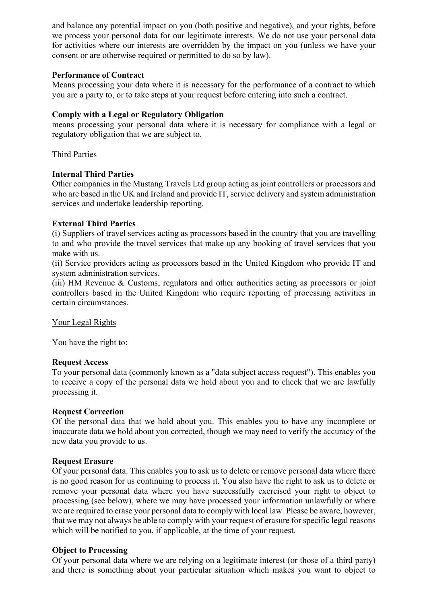and balance any potential impact on you (both positive and negative), and your rights, before we process your personal data for our legitimate interests. We do not use your personal data for activities where our interests are overridden by the impact on you (unless we have your consent or are otherwise required or permitted to do so by law).

## **Performance of Contract**

Means processing your data where it is necessary for the performance of a contract to which you are a party to, or to take steps at your request before entering into such a contract.

## **Comply with a Legal or Regulatory Obligation**

means processing your personal data where it is necessary for compliance with a legal or regulatory obligation that we are subject to.

## Third Parties

## **Internal Third Parties**

Other companies in the Mustang Travels Ltd group acting as joint controllers or processors and who are based in the UK and Ireland and provide IT, service delivery and system administration services and undertake leadership reporting.

## **External Third Parties**

(i) Suppliers of travel services acting as processors based in the country that you are travelling to and who provide the travel services that make up any booking of travel services that you make with us.

(ii) Service providers acting as processors based in the United Kingdom who provide IT and system administration services.

(iii) HM Revenue & Customs, regulators and other authorities acting as processors or joint controllers based in the United Kingdom who require reporting of processing activities in certain circumstances.

### Your Legal Rights

You have the right to:

### **Request Access**

To your personal data (commonly known as a "data subject access request"). This enables you to receive a copy of the personal data we hold about you and to check that we are lawfully processing it.

### **Request Correction**

Of the personal data that we hold about you. This enables you to have any incomplete or inaccurate data we hold about you corrected, though we may need to verify the accuracy of the new data you provide to us.

### **Request Erasure**

Of your personal data. This enables you to ask us to delete or remove personal data where there is no good reason for us continuing to process it. You also have the right to ask us to delete or remove your personal data where you have successfully exercised your right to object to processing (see below), where we may have processed your information unlawfully or where we are required to erase your personal data to comply with local law. Please be aware, however, that we may not always be able to comply with your request of erasure for specific legal reasons which will be notified to you, if applicable, at the time of your request.

### **Object to Processing**

Of your personal data where we are relying on a legitimate interest (or those of a third party) and there is something about your particular situation which makes you want to object to